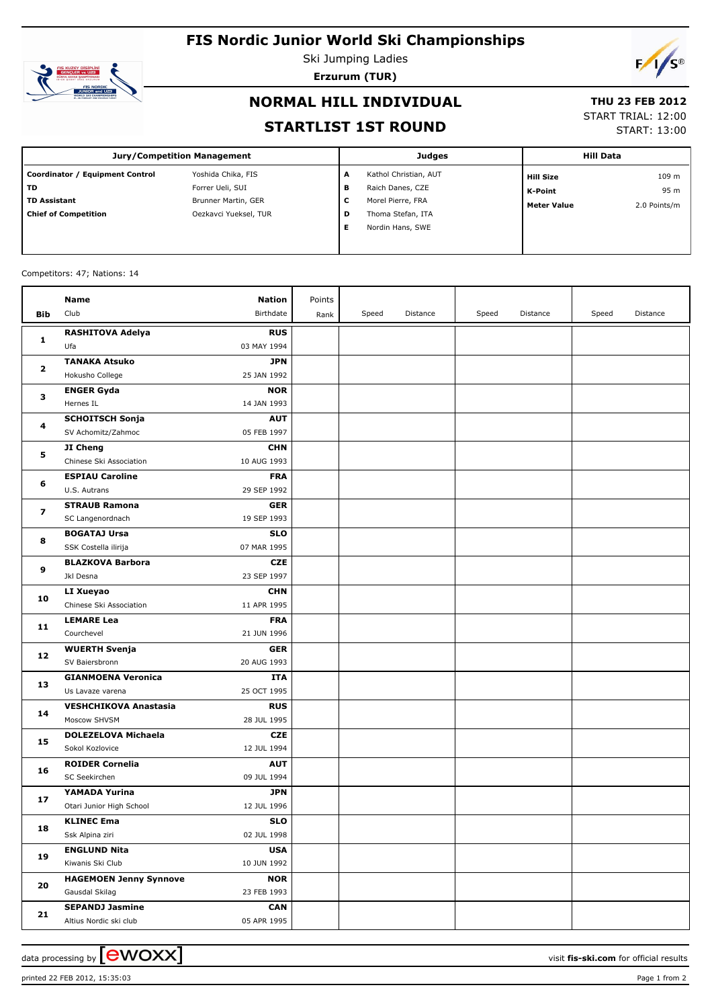# **FIS Nordic Junior World Ski Championships**



Ski Jumping Ladies **Erzurum (TUR)**

 $F/\sqrt{s^{\circ}}$ 

# **NORMAL HILL INDIVIDUAL**

## **THU 23 FEB 2012**

### **STARTLIST 1ST ROUND**

START TRIAL: 12:00

START: 13:00

| <b>Jury/Competition Management</b> |                       |   | <b>Judges</b>         | <b>Hill Data</b>   |              |
|------------------------------------|-----------------------|---|-----------------------|--------------------|--------------|
| Coordinator / Equipment Control    | Yoshida Chika, FIS    | A | Kathol Christian, AUT | <b>Hill Size</b>   | 109 m        |
| TD                                 | Forrer Ueli, SUI      | в | Raich Danes, CZE      | <b>K-Point</b>     | 95 m         |
| <b>TD Assistant</b>                | Brunner Martin, GER   | c | Morel Pierre, FRA     | <b>Meter Value</b> | 2.0 Points/m |
| <b>Chief of Competition</b>        | Oezkavci Yueksel, TUR | D | Thoma Stefan, ITA     |                    |              |
|                                    |                       | Е | Nordin Hans, SWE      |                    |              |
|                                    |                       |   |                       |                    |              |

#### Competitors: 47; Nations: 14

|                | Name                                            | <b>Nation</b>             | Points |       |          |       |          |       |          |
|----------------|-------------------------------------------------|---------------------------|--------|-------|----------|-------|----------|-------|----------|
| <b>Bib</b>     | Club                                            | Birthdate                 | Rank   | Speed | Distance | Speed | Distance | Speed | Distance |
|                | <b>RASHITOVA Adelya</b>                         | <b>RUS</b>                |        |       |          |       |          |       |          |
| 1              | Ufa                                             | 03 MAY 1994               |        |       |          |       |          |       |          |
|                | <b>TANAKA Atsuko</b>                            | JPN                       |        |       |          |       |          |       |          |
| 2<br>з<br>4    | Hokusho College                                 | 25 JAN 1992               |        |       |          |       |          |       |          |
|                | <b>ENGER Gyda</b>                               | <b>NOR</b>                |        |       |          |       |          |       |          |
|                | Hernes IL                                       | 14 JAN 1993               |        |       |          |       |          |       |          |
|                | <b>SCHOITSCH Sonja</b>                          | <b>AUT</b>                |        |       |          |       |          |       |          |
|                | SV Achomitz/Zahmoc                              | 05 FEB 1997               |        |       |          |       |          |       |          |
| 5              | JI Cheng                                        | <b>CHN</b>                |        |       |          |       |          |       |          |
|                | Chinese Ski Association                         | 10 AUG 1993               |        |       |          |       |          |       |          |
|                | <b>ESPIAU Caroline</b>                          | <b>FRA</b>                |        |       |          |       |          |       |          |
| 6              | U.S. Autrans                                    | 29 SEP 1992               |        |       |          |       |          |       |          |
|                | <b>STRAUB Ramona</b>                            | <b>GER</b>                |        |       |          |       |          |       |          |
| 7              | SC Langenordnach                                | 19 SEP 1993               |        |       |          |       |          |       |          |
|                | <b>BOGATAJ Ursa</b>                             | <b>SLO</b>                |        |       |          |       |          |       |          |
| 8              | SSK Costella ilirija                            | 07 MAR 1995               |        |       |          |       |          |       |          |
| 9              | <b>BLAZKOVA Barbora</b>                         | <b>CZE</b>                |        |       |          |       |          |       |          |
|                | Jkl Desna                                       | 23 SEP 1997               |        |       |          |       |          |       |          |
| 10             | LI Xueyao                                       | <b>CHN</b>                |        |       |          |       |          |       |          |
|                | Chinese Ski Association                         | 11 APR 1995               |        |       |          |       |          |       |          |
|                | <b>LEMARE Lea</b>                               | <b>FRA</b>                |        |       |          |       |          |       |          |
| 11             | Courchevel                                      | 21 JUN 1996               |        |       |          |       |          |       |          |
| 12             | <b>WUERTH Svenja</b>                            | <b>GER</b>                |        |       |          |       |          |       |          |
|                | SV Baiersbronn                                  | 20 AUG 1993               |        |       |          |       |          |       |          |
| 13             | <b>GIANMOENA Veronica</b>                       | ITA                       |        |       |          |       |          |       |          |
|                | Us Lavaze varena                                | 25 OCT 1995               |        |       |          |       |          |       |          |
| 14             | <b>VESHCHIKOVA Anastasia</b>                    | <b>RUS</b>                |        |       |          |       |          |       |          |
|                | Moscow SHVSM                                    | 28 JUL 1995               |        |       |          |       |          |       |          |
| 15             | <b>DOLEZELOVA Michaela</b>                      | <b>CZE</b>                |        |       |          |       |          |       |          |
|                | Sokol Kozlovice                                 | 12 JUL 1994               |        |       |          |       |          |       |          |
| 16             | <b>ROIDER Cornelia</b>                          | <b>AUT</b>                |        |       |          |       |          |       |          |
|                | SC Seekirchen                                   | 09 JUL 1994               |        |       |          |       |          |       |          |
| 17<br>18<br>19 | YAMADA Yurina                                   | JPN                       |        |       |          |       |          |       |          |
|                | Otari Junior High School                        | 12 JUL 1996               |        |       |          |       |          |       |          |
|                | <b>KLINEC Ema</b>                               | SLO                       |        |       |          |       |          |       |          |
|                | Ssk Alpina ziri                                 | 02 JUL 1998               |        |       |          |       |          |       |          |
|                | <b>ENGLUND Nita</b><br>Kiwanis Ski Club         | <b>USA</b>                |        |       |          |       |          |       |          |
|                |                                                 | 10 JUN 1992               |        |       |          |       |          |       |          |
| 20             | <b>HAGEMOEN Jenny Synnove</b><br>Gausdal Skilag | <b>NOR</b><br>23 FEB 1993 |        |       |          |       |          |       |          |
|                | <b>SEPANDJ Jasmine</b>                          | <b>CAN</b>                |        |       |          |       |          |       |          |
| 21             | Altius Nordic ski club                          | 05 APR 1995               |        |       |          |       |          |       |          |
|                |                                                 |                           |        |       |          |       |          |       |          |